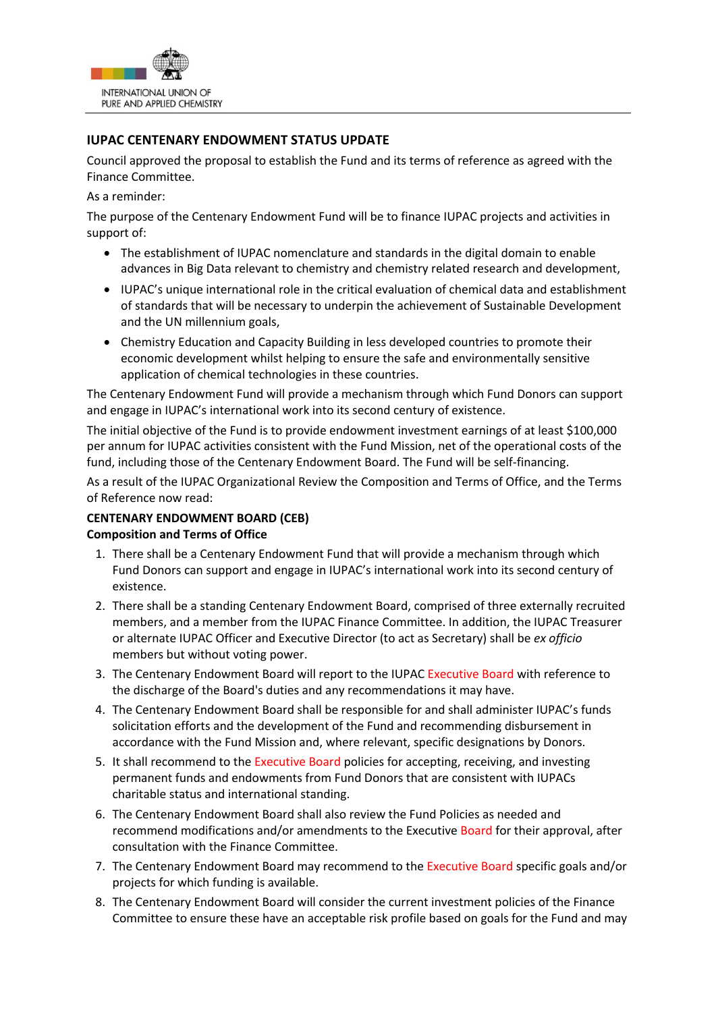

## **IUPAC CENTENARY ENDOWMENT STATUS UPDATE**

Council approved the proposal to establish the Fund and its terms of reference as agreed with the Finance Committee.

As a reminder:

The purpose of the Centenary Endowment Fund will be to finance IUPAC projects and activities in support of:

- The establishment of IUPAC nomenclature and standards in the digital domain to enable advances in Big Data relevant to chemistry and chemistry related research and development,
- IUPAC's unique international role in the critical evaluation of chemical data and establishment of standards that will be necessary to underpin the achievement of Sustainable Development and the UN millennium goals,
- Chemistry Education and Capacity Building in less developed countries to promote their economic development whilst helping to ensure the safe and environmentally sensitive application of chemical technologies in these countries.

The Centenary Endowment Fund will provide a mechanism through which Fund Donors can support and engage in IUPAC's international work into its second century of existence.

The initial objective of the Fund is to provide endowment investment earnings of at least \$100,000 per annum for IUPAC activities consistent with the Fund Mission, net of the operational costs of the fund, including those of the Centenary Endowment Board. The Fund will be self-financing.

As a result of the IUPAC Organizational Review the Composition and Terms of Office, and the Terms of Reference now read:

## **CENTENARY ENDOWMENT BOARD (CEB) Composition and Terms of Office**

- 1. There shall be a Centenary Endowment Fund that will provide a mechanism through which Fund Donors can support and engage in IUPAC's international work into its second century of existence.
- 2. There shall be a standing Centenary Endowment Board, comprised of three externally recruited members, and a member from the IUPAC Finance Committee. In addition, the IUPAC Treasurer or alternate IUPAC Officer and Executive Director (to act as Secretary) shall be *ex officio*  members but without voting power.
- 3. The Centenary Endowment Board will report to the IUPAC Executive Board with reference to the discharge of the Board's duties and any recommendations it may have.
- 4. The Centenary Endowment Board shall be responsible for and shall administer IUPAC's funds solicitation efforts and the development of the Fund and recommending disbursement in accordance with the Fund Mission and, where relevant, specific designations by Donors.
- 5. It shall recommend to the Executive Board policies for accepting, receiving, and investing permanent funds and endowments from Fund Donors that are consistent with IUPACs charitable status and international standing.
- 6. The Centenary Endowment Board shall also review the Fund Policies as needed and recommend modifications and/or amendments to the Executive Board for their approval, after consultation with the Finance Committee.
- 7. The Centenary Endowment Board may recommend to the Executive Board specific goals and/or projects for which funding is available.
- 8. The Centenary Endowment Board will consider the current investment policies of the Finance Committee to ensure these have an acceptable risk profile based on goals for the Fund and may